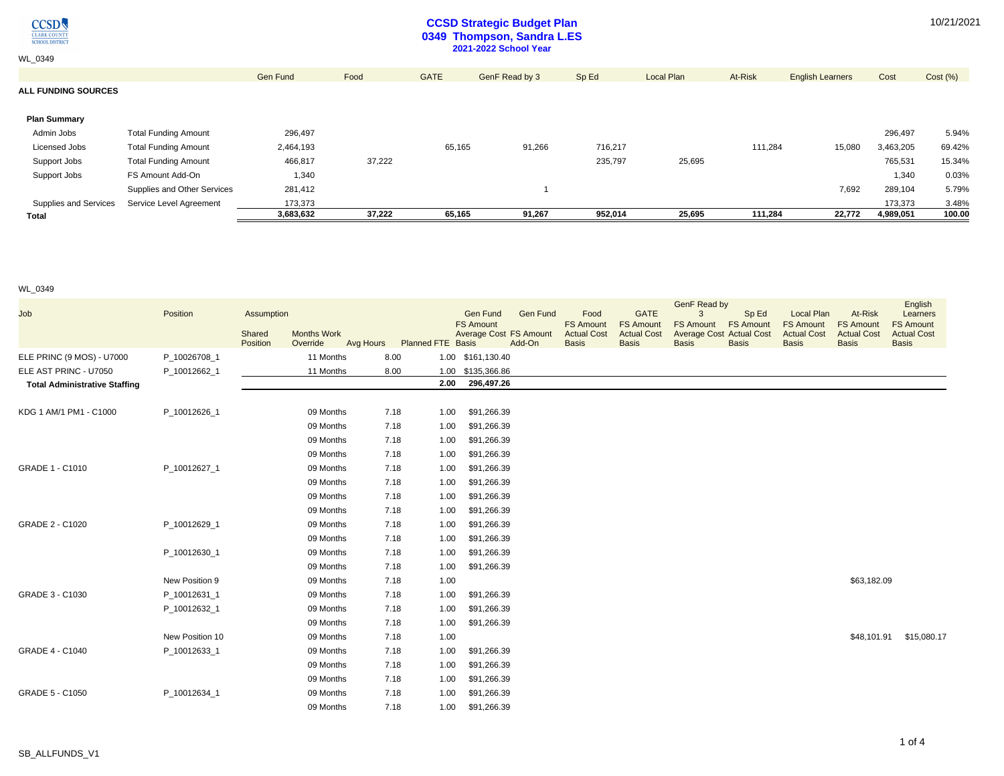$\underset{\frac{\text{CLARK COUNT}}{\text{CHOOL DISTRIC}}} {\text{CCSD}}$ 

# **CCSD Strategic Budget Plan 0349 Thompson, Sandra L.ES 2021-2022 School Year**

| <b>WL 0349</b>             |                             |           |        |             | <b>2021-2022 School Year</b> |         |            |         |                         |           |         |
|----------------------------|-----------------------------|-----------|--------|-------------|------------------------------|---------|------------|---------|-------------------------|-----------|---------|
|                            |                             | Gen Fund  | Food   | <b>GATE</b> | GenF Read by 3               | Sp Ed   | Local Plan | At-Risk | <b>English Learners</b> | Cost      | Cost(%) |
| <b>ALL FUNDING SOURCES</b> |                             |           |        |             |                              |         |            |         |                         |           |         |
|                            |                             |           |        |             |                              |         |            |         |                         |           |         |
| <b>Plan Summary</b>        |                             |           |        |             |                              |         |            |         |                         |           |         |
| Admin Jobs                 | <b>Total Funding Amount</b> | 296,497   |        |             |                              |         |            |         |                         | 296,497   | 5.94%   |
| Licensed Jobs              | <b>Total Funding Amount</b> | 2,464,193 |        | 65,165      | 91,266                       | 716,217 |            | 111,284 | 15,080                  | 3,463,205 | 69.42%  |
| Support Jobs               | <b>Total Funding Amount</b> | 466,817   | 37,222 |             |                              | 235,797 | 25,695     |         |                         | 765,531   | 15.34%  |
| Support Jobs               | FS Amount Add-On            | 1,340     |        |             |                              |         |            |         |                         | 1,340     | 0.03%   |
|                            | Supplies and Other Services | 281,412   |        |             |                              |         |            |         | 7,692                   | 289,104   | 5.79%   |
| Supplies and Services      | Service Level Agreement     | 173,373   |        |             |                              |         |            |         |                         | 173,373   | 3.48%   |
| <b>Total</b>               |                             | 3,683,632 | 37,222 | 65,165      | 91,267                       | 952,014 | 25,695     | 111,284 | 22,772                  | 4,989,051 | 100.00  |

WL\_0349

|                                      |                 |            |                    |           |                          |      |                   |                        |                                        |                                        | <b>GenF Read by</b>                                 |                  |                                        |                                        | English                                |
|--------------------------------------|-----------------|------------|--------------------|-----------|--------------------------|------|-------------------|------------------------|----------------------------------------|----------------------------------------|-----------------------------------------------------|------------------|----------------------------------------|----------------------------------------|----------------------------------------|
| Job                                  | Position        | Assumption |                    |           |                          |      | <b>Gen Fund</b>   | <b>Gen Fund</b>        | Food                                   | <b>GATE</b>                            | 3                                                   | Sp Ed            | Local Plan                             | At-Risk                                | Learners                               |
|                                      |                 | Shared     | <b>Months Work</b> |           |                          |      | <b>FS Amount</b>  | Average Cost FS Amount | <b>FS Amount</b><br><b>Actual Cost</b> | <b>FS Amount</b><br><b>Actual Cost</b> | <b>FS Amount</b><br><b>Average Cost Actual Cost</b> | <b>FS Amount</b> | <b>FS Amount</b><br><b>Actual Cost</b> | <b>FS Amount</b><br><b>Actual Cost</b> | <b>FS Amount</b><br><b>Actual Cost</b> |
|                                      |                 | Position   | Override           | Avg Hours | <b>Planned FTE Basis</b> |      |                   | Add-On                 | <b>Basis</b>                           | <b>Basis</b>                           | <b>Basis</b>                                        | <b>Basis</b>     | <b>Basis</b>                           | <b>Basis</b>                           | <b>Basis</b>                           |
| ELE PRINC (9 MOS) - U7000            | P_10026708_1    |            | 11 Months          |           | 8.00                     |      | 1.00 \$161,130.40 |                        |                                        |                                        |                                                     |                  |                                        |                                        |                                        |
| ELE AST PRINC - U7050                | P_10012662_1    |            | 11 Months          |           | 8.00                     |      | 1.00 \$135,366.86 |                        |                                        |                                        |                                                     |                  |                                        |                                        |                                        |
| <b>Total Administrative Staffing</b> |                 |            |                    |           |                          | 2.00 | 296,497.26        |                        |                                        |                                        |                                                     |                  |                                        |                                        |                                        |
|                                      |                 |            |                    |           |                          |      |                   |                        |                                        |                                        |                                                     |                  |                                        |                                        |                                        |
| KDG 1 AM/1 PM1 - C1000               | P_10012626_1    |            | 09 Months          |           | 7.18                     | 1.00 | \$91,266.39       |                        |                                        |                                        |                                                     |                  |                                        |                                        |                                        |
|                                      |                 |            | 09 Months          |           | 7.18                     | 1.00 | \$91,266.39       |                        |                                        |                                        |                                                     |                  |                                        |                                        |                                        |
|                                      |                 |            | 09 Months          |           | 7.18                     | 1.00 | \$91,266.39       |                        |                                        |                                        |                                                     |                  |                                        |                                        |                                        |
|                                      |                 |            | 09 Months          |           | 7.18                     | 1.00 | \$91,266.39       |                        |                                        |                                        |                                                     |                  |                                        |                                        |                                        |
| GRADE 1 - C1010                      | P 10012627 1    |            | 09 Months          |           | 7.18                     | 1.00 | \$91,266.39       |                        |                                        |                                        |                                                     |                  |                                        |                                        |                                        |
|                                      |                 |            | 09 Months          |           | 7.18                     | 1.00 | \$91,266.39       |                        |                                        |                                        |                                                     |                  |                                        |                                        |                                        |
|                                      |                 |            | 09 Months          |           | 7.18                     | 1.00 | \$91,266.39       |                        |                                        |                                        |                                                     |                  |                                        |                                        |                                        |
|                                      |                 |            | 09 Months          |           | 7.18                     | 1.00 | \$91,266.39       |                        |                                        |                                        |                                                     |                  |                                        |                                        |                                        |
| GRADE 2 - C1020                      | P 10012629 1    |            | 09 Months          |           | 7.18                     | 1.00 | \$91,266.39       |                        |                                        |                                        |                                                     |                  |                                        |                                        |                                        |
|                                      |                 |            | 09 Months          |           | 7.18                     | 1.00 | \$91,266.39       |                        |                                        |                                        |                                                     |                  |                                        |                                        |                                        |
|                                      | P_10012630_1    |            | 09 Months          |           | 7.18                     | 1.00 | \$91,266.39       |                        |                                        |                                        |                                                     |                  |                                        |                                        |                                        |
|                                      |                 |            | 09 Months          |           | 7.18                     | 1.00 | \$91,266.39       |                        |                                        |                                        |                                                     |                  |                                        |                                        |                                        |
|                                      | New Position 9  |            | 09 Months          |           | 7.18                     | 1.00 |                   |                        |                                        |                                        |                                                     |                  |                                        | \$63,182.09                            |                                        |
| GRADE 3 - C1030                      | P_10012631_1    |            | 09 Months          |           | 7.18                     | 1.00 | \$91,266.39       |                        |                                        |                                        |                                                     |                  |                                        |                                        |                                        |
|                                      | P_10012632_1    |            | 09 Months          |           | 7.18                     | 1.00 | \$91,266.39       |                        |                                        |                                        |                                                     |                  |                                        |                                        |                                        |
|                                      |                 |            | 09 Months          |           | 7.18                     | 1.00 | \$91,266.39       |                        |                                        |                                        |                                                     |                  |                                        |                                        |                                        |
|                                      | New Position 10 |            | 09 Months          |           | 7.18                     | 1.00 |                   |                        |                                        |                                        |                                                     |                  |                                        | \$48,101.91                            | \$15,080.17                            |
| GRADE 4 - C1040                      | P_10012633_1    |            | 09 Months          |           | 7.18                     | 1.00 | \$91,266.39       |                        |                                        |                                        |                                                     |                  |                                        |                                        |                                        |
|                                      |                 |            | 09 Months          |           | 7.18                     | 1.00 | \$91,266.39       |                        |                                        |                                        |                                                     |                  |                                        |                                        |                                        |
|                                      |                 |            | 09 Months          |           | 7.18                     | 1.00 | \$91,266.39       |                        |                                        |                                        |                                                     |                  |                                        |                                        |                                        |
| GRADE 5 - C1050                      | P_10012634_1    |            | 09 Months          |           | 7.18                     | 1.00 | \$91,266.39       |                        |                                        |                                        |                                                     |                  |                                        |                                        |                                        |
|                                      |                 |            | 09 Months          |           | 7.18                     | 1.00 | \$91,266.39       |                        |                                        |                                        |                                                     |                  |                                        |                                        |                                        |
|                                      |                 |            |                    |           |                          |      |                   |                        |                                        |                                        |                                                     |                  |                                        |                                        |                                        |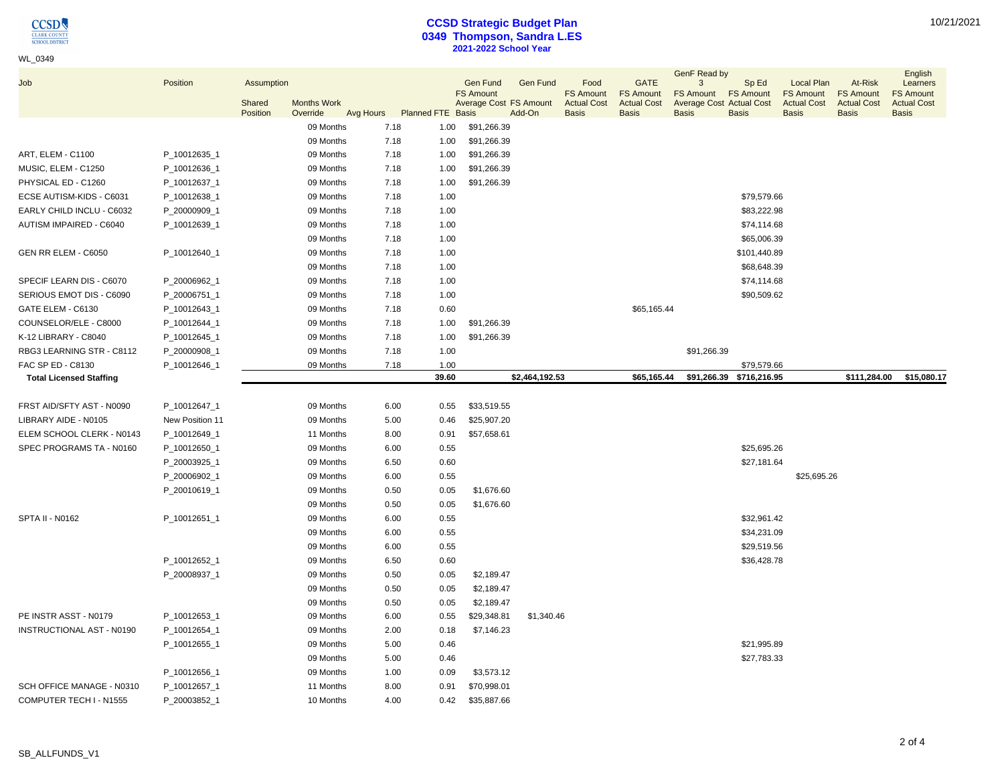$\underset{\frac{\text{CLARK COUNT}}{\text{CHOOL DISTRIC}}} {\text{CCSD}}$ 

# WL\_0349

### **CCSD Strategic Budget Plan 0349 Thompson, Sandra L.ES 2021-2022 School Year**

|                                  |                 |                      |                    |      |                             |                                     |                                           |                                                |                                                       | GenF Read by                                             |                           |                                                             |                                                   | English                                            |
|----------------------------------|-----------------|----------------------|--------------------|------|-----------------------------|-------------------------------------|-------------------------------------------|------------------------------------------------|-------------------------------------------------------|----------------------------------------------------------|---------------------------|-------------------------------------------------------------|---------------------------------------------------|----------------------------------------------------|
| Job                              | Position        | Assumption<br>Shared | <b>Months Work</b> |      |                             | <b>Gen Fund</b><br><b>FS Amount</b> | <b>Gen Fund</b><br>Average Cost FS Amount | Food<br><b>FS Amount</b><br><b>Actual Cost</b> | <b>GATE</b><br><b>FS Amount</b><br><b>Actual Cost</b> | 3<br><b>FS Amount</b><br><b>Average Cost Actual Cost</b> | Sp Ed<br><b>FS Amount</b> | <b>Local Plan</b><br><b>FS Amount</b><br><b>Actual Cost</b> | At-Risk<br><b>FS Amount</b><br><b>Actual Cost</b> | Learners<br><b>FS Amount</b><br><b>Actual Cost</b> |
|                                  |                 | Position             | Override           |      | Avg Hours Planned FTE Basis |                                     | Add-On                                    | <b>Basis</b>                                   | <b>Basis</b>                                          | <b>Basis</b>                                             | <b>Basis</b>              | <b>Basis</b>                                                | <b>Basis</b>                                      | <b>Basis</b>                                       |
|                                  |                 |                      | 09 Months          | 7.18 | 1.00                        | \$91,266.39                         |                                           |                                                |                                                       |                                                          |                           |                                                             |                                                   |                                                    |
|                                  |                 |                      | 09 Months          | 7.18 | 1.00                        | \$91,266.39                         |                                           |                                                |                                                       |                                                          |                           |                                                             |                                                   |                                                    |
| ART, ELEM - C1100                | P_10012635_1    |                      | 09 Months          | 7.18 | 1.00                        | \$91,266.39                         |                                           |                                                |                                                       |                                                          |                           |                                                             |                                                   |                                                    |
| MUSIC, ELEM - C1250              | P_10012636_1    |                      | 09 Months          | 7.18 | 1.00                        | \$91,266.39                         |                                           |                                                |                                                       |                                                          |                           |                                                             |                                                   |                                                    |
| PHYSICAL ED - C1260              | P_10012637_1    |                      | 09 Months          | 7.18 | 1.00                        | \$91,266.39                         |                                           |                                                |                                                       |                                                          |                           |                                                             |                                                   |                                                    |
| ECSE AUTISM-KIDS - C6031         | P_10012638_1    |                      | 09 Months          | 7.18 | 1.00                        |                                     |                                           |                                                |                                                       |                                                          | \$79,579.66               |                                                             |                                                   |                                                    |
| EARLY CHILD INCLU - C6032        | P_20000909_1    |                      | 09 Months          | 7.18 | 1.00                        |                                     |                                           |                                                |                                                       |                                                          | \$83,222.98               |                                                             |                                                   |                                                    |
| AUTISM IMPAIRED - C6040          | P_10012639_1    |                      | 09 Months          | 7.18 | 1.00                        |                                     |                                           |                                                |                                                       |                                                          | \$74,114.68               |                                                             |                                                   |                                                    |
|                                  |                 |                      | 09 Months          | 7.18 | 1.00                        |                                     |                                           |                                                |                                                       |                                                          | \$65,006.39               |                                                             |                                                   |                                                    |
| GEN RR ELEM - C6050              | P 10012640 1    |                      | 09 Months          | 7.18 | 1.00                        |                                     |                                           |                                                |                                                       |                                                          | \$101,440.89              |                                                             |                                                   |                                                    |
|                                  |                 |                      | 09 Months          | 7.18 | 1.00                        |                                     |                                           |                                                |                                                       |                                                          | \$68,648.39               |                                                             |                                                   |                                                    |
| SPECIF LEARN DIS - C6070         | P_20006962_1    |                      | 09 Months          | 7.18 | 1.00                        |                                     |                                           |                                                |                                                       |                                                          | \$74,114.68               |                                                             |                                                   |                                                    |
| SERIOUS EMOT DIS - C6090         | P_20006751_1    |                      | 09 Months          | 7.18 | 1.00                        |                                     |                                           |                                                |                                                       |                                                          | \$90,509.62               |                                                             |                                                   |                                                    |
| GATE ELEM - C6130                | P_10012643_1    |                      | 09 Months          | 7.18 | 0.60                        |                                     |                                           |                                                | \$65,165.44                                           |                                                          |                           |                                                             |                                                   |                                                    |
| COUNSELOR/ELE - C8000            | P_10012644_1    |                      | 09 Months          | 7.18 | 1.00                        | \$91,266.39                         |                                           |                                                |                                                       |                                                          |                           |                                                             |                                                   |                                                    |
| K-12 LIBRARY - C8040             | P_10012645_1    |                      | 09 Months          | 7.18 | 1.00                        | \$91,266.39                         |                                           |                                                |                                                       |                                                          |                           |                                                             |                                                   |                                                    |
| RBG3 LEARNING STR - C8112        | P_20000908_1    |                      | 09 Months          | 7.18 | 1.00                        |                                     |                                           |                                                |                                                       | \$91,266.39                                              |                           |                                                             |                                                   |                                                    |
| FAC SP ED - C8130                | P_10012646_1    |                      | 09 Months          | 7.18 | 1.00                        |                                     |                                           |                                                |                                                       |                                                          | \$79,579.66               |                                                             |                                                   |                                                    |
| <b>Total Licensed Staffing</b>   |                 |                      |                    |      | 39.60                       |                                     | \$2,464,192.53                            |                                                | \$65,165.44                                           |                                                          | \$91,266.39 \$716,216.95  |                                                             | \$111,284.00                                      | \$15,080.17                                        |
| FRST AID/SFTY AST - N0090        | P_10012647_1    |                      | 09 Months          | 6.00 | 0.55                        | \$33,519.55                         |                                           |                                                |                                                       |                                                          |                           |                                                             |                                                   |                                                    |
| LIBRARY AIDE - N0105             | New Position 11 |                      | 09 Months          | 5.00 | 0.46                        | \$25,907.20                         |                                           |                                                |                                                       |                                                          |                           |                                                             |                                                   |                                                    |
| ELEM SCHOOL CLERK - N0143        | P_10012649_1    |                      | 11 Months          |      | 8.00<br>0.91                | \$57,658.61                         |                                           |                                                |                                                       |                                                          |                           |                                                             |                                                   |                                                    |
| SPEC PROGRAMS TA - N0160         | P_10012650_1    |                      | 09 Months          | 6.00 | 0.55                        |                                     |                                           |                                                |                                                       |                                                          | \$25,695.26               |                                                             |                                                   |                                                    |
|                                  | P_20003925_1    |                      | 09 Months          | 6.50 | 0.60                        |                                     |                                           |                                                |                                                       |                                                          | \$27,181.64               |                                                             |                                                   |                                                    |
|                                  | P_20006902_1    |                      | 09 Months          | 6.00 | 0.55                        |                                     |                                           |                                                |                                                       |                                                          |                           | \$25,695.26                                                 |                                                   |                                                    |
|                                  | P_20010619_1    |                      | 09 Months          |      | 0.50<br>0.05                | \$1,676.60                          |                                           |                                                |                                                       |                                                          |                           |                                                             |                                                   |                                                    |
|                                  |                 |                      | 09 Months          | 0.50 | 0.05                        | \$1,676.60                          |                                           |                                                |                                                       |                                                          |                           |                                                             |                                                   |                                                    |
| <b>SPTA II - N0162</b>           | P_10012651_1    |                      | 09 Months          |      | 0.55<br>6.00                |                                     |                                           |                                                |                                                       |                                                          | \$32,961.42               |                                                             |                                                   |                                                    |
|                                  |                 |                      | 09 Months          | 6.00 | 0.55                        |                                     |                                           |                                                |                                                       |                                                          | \$34,231.09               |                                                             |                                                   |                                                    |
|                                  |                 |                      | 09 Months          |      | 0.55<br>6.00                |                                     |                                           |                                                |                                                       |                                                          | \$29,519.56               |                                                             |                                                   |                                                    |
|                                  | P_10012652_1    |                      | 09 Months          | 6.50 | 0.60                        |                                     |                                           |                                                |                                                       |                                                          | \$36,428.78               |                                                             |                                                   |                                                    |
|                                  | P_20008937_1    |                      | 09 Months          | 0.50 | 0.05                        | \$2,189.47                          |                                           |                                                |                                                       |                                                          |                           |                                                             |                                                   |                                                    |
|                                  |                 |                      | 09 Months          | 0.50 | 0.05                        | \$2,189.47                          |                                           |                                                |                                                       |                                                          |                           |                                                             |                                                   |                                                    |
|                                  |                 |                      | 09 Months          |      | 0.50<br>0.05                | \$2,189.47                          |                                           |                                                |                                                       |                                                          |                           |                                                             |                                                   |                                                    |
| PE INSTR ASST - N0179            | P_10012653_1    |                      | 09 Months          | 6.00 | 0.55                        | \$29,348.81                         | \$1,340.46                                |                                                |                                                       |                                                          |                           |                                                             |                                                   |                                                    |
| <b>INSTRUCTIONAL AST - N0190</b> | P_10012654_1    |                      | 09 Months          |      | 2.00<br>0.18                | \$7,146.23                          |                                           |                                                |                                                       |                                                          |                           |                                                             |                                                   |                                                    |
|                                  | P_10012655_1    |                      | 09 Months          |      | 5.00<br>0.46                |                                     |                                           |                                                |                                                       |                                                          | \$21,995.89               |                                                             |                                                   |                                                    |
|                                  |                 |                      | 09 Months          |      | 5.00<br>0.46                |                                     |                                           |                                                |                                                       |                                                          | \$27,783.33               |                                                             |                                                   |                                                    |
|                                  | P_10012656_1    |                      | 09 Months          | 1.00 | 0.09                        | \$3,573.12                          |                                           |                                                |                                                       |                                                          |                           |                                                             |                                                   |                                                    |
| SCH OFFICE MANAGE - N0310        | P_10012657_1    |                      | 11 Months          |      | 8.00<br>0.91                | \$70,998.01                         |                                           |                                                |                                                       |                                                          |                           |                                                             |                                                   |                                                    |
| COMPUTER TECH I - N1555          | P_20003852_1    |                      | 10 Months          |      | 4.00<br>0.42                | \$35,887.66                         |                                           |                                                |                                                       |                                                          |                           |                                                             |                                                   |                                                    |
|                                  |                 |                      |                    |      |                             |                                     |                                           |                                                |                                                       |                                                          |                           |                                                             |                                                   |                                                    |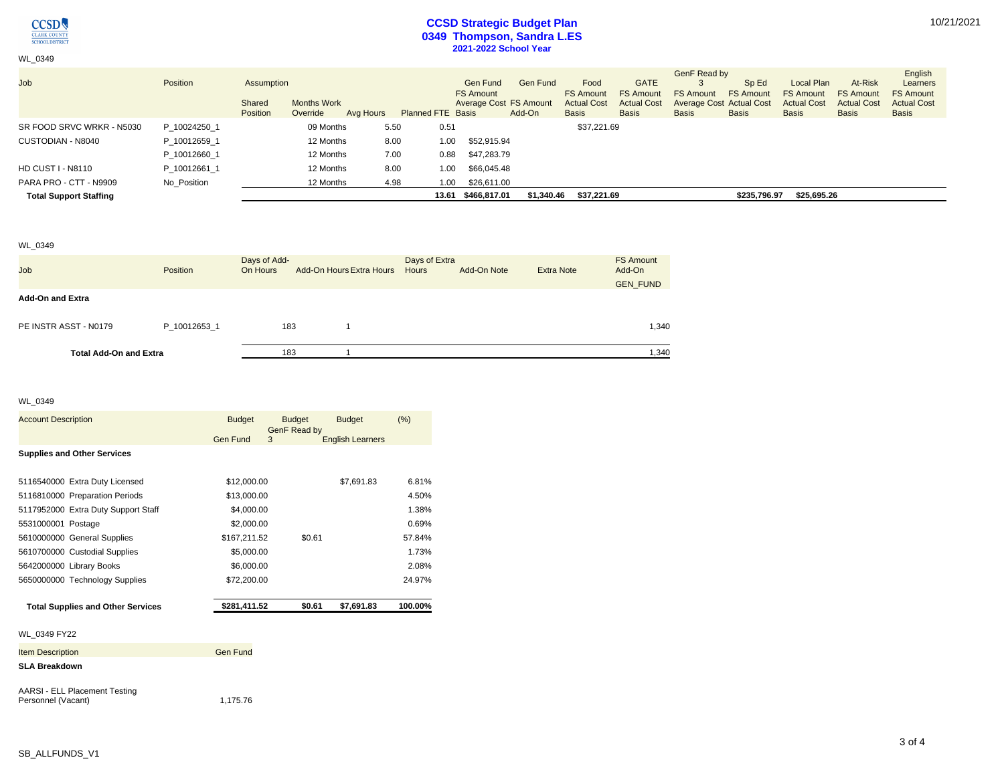

WL\_0349

# **CCSD Strategic Budget Plan 0349 Thompson, Sandra L.ES 2021-2022 School Year**

| Job                           | Position     | Assumption         |                                |           |                          | Gen Fund<br><b>FS Amount</b> | Gen Fund   | Food<br><b>FS Amount</b>           | <b>GATE</b><br><b>FS Amount</b>    | GenF Read by<br><b>FS Amount</b> | Sp Ed<br><b>FS Amount</b>                       | Local Plan<br><b>FS Amount</b>     | At-Risk<br><b>FS Amount</b>        | English<br>Learners<br><b>FS Amount</b> |
|-------------------------------|--------------|--------------------|--------------------------------|-----------|--------------------------|------------------------------|------------|------------------------------------|------------------------------------|----------------------------------|-------------------------------------------------|------------------------------------|------------------------------------|-----------------------------------------|
|                               |              | Shared<br>Position | <b>Months Work</b><br>Override | Avg Hours | <b>Planned FTE Basis</b> | Average Cost FS Amount       | Add-On     | <b>Actual Cost</b><br><b>Basis</b> | <b>Actual Cost</b><br><b>Basis</b> | <b>Basis</b>                     | <b>Average Cost Actual Cost</b><br><b>Basis</b> | <b>Actual Cost</b><br><b>Basis</b> | <b>Actual Cost</b><br><b>Basis</b> | <b>Actual Cost</b><br><b>Basis</b>      |
| SR FOOD SRVC WRKR - N5030     | P 10024250 1 |                    | 09 Months                      | 5.50      | 0.51                     |                              |            | \$37,221.69                        |                                    |                                  |                                                 |                                    |                                    |                                         |
| CUSTODIAN - N8040             | P 10012659 1 |                    | 12 Months                      | 8.00      | 1.00                     | \$52,915.94                  |            |                                    |                                    |                                  |                                                 |                                    |                                    |                                         |
|                               | P 10012660 1 |                    | 12 Months                      | 7.00      | 0.88                     | \$47,283.79                  |            |                                    |                                    |                                  |                                                 |                                    |                                    |                                         |
| <b>HD CUST I - N8110</b>      | P 10012661 1 |                    | 12 Months                      | 8.00      | 1.00                     | \$66,045.48                  |            |                                    |                                    |                                  |                                                 |                                    |                                    |                                         |
| PARA PRO - CTT - N9909        | No Position  |                    | 12 Months                      | 4.98      | 1.00                     | \$26.611.00                  |            |                                    |                                    |                                  |                                                 |                                    |                                    |                                         |
| <b>Total Support Staffing</b> |              |                    |                                |           |                          | 13.61 \$466,817.01           | \$1,340.46 | \$37.221.69                        |                                    |                                  | \$235,796.97                                    | \$25,695.26                        |                                    |                                         |

#### WL\_0349

| <b>Job</b>                    | Position     | Days of Add-<br>On Hours | Add-On Hours Extra Hours | Days of Extra<br>Hours | Add-On Note | <b>Extra Note</b> | <b>FS Amount</b><br>Add-On<br><b>GEN FUND</b> |
|-------------------------------|--------------|--------------------------|--------------------------|------------------------|-------------|-------------------|-----------------------------------------------|
| <b>Add-On and Extra</b>       |              |                          |                          |                        |             |                   |                                               |
| PE INSTR ASST - N0179         | P 10012653 1 | 183                      |                          |                        |             |                   | 1,340                                         |
| <b>Total Add-On and Extra</b> |              | 183                      |                          |                        |             |                   | 1,340                                         |

#### WL\_0349

| <b>Account Description</b>                                 | <b>Budget</b> | <b>Budget</b><br>GenF Read by | <b>Budget</b>           | (%)     |
|------------------------------------------------------------|---------------|-------------------------------|-------------------------|---------|
|                                                            | Gen Fund      | 3                             | <b>English Learners</b> |         |
| <b>Supplies and Other Services</b>                         |               |                               |                         |         |
| 5116540000 Extra Duty Licensed                             | \$12,000.00   |                               | \$7.691.83              | 6.81%   |
| 5116810000 Preparation Periods                             | \$13,000.00   |                               |                         | 4.50%   |
| 5117952000 Extra Duty Support Staff                        | \$4,000.00    |                               |                         | 1.38%   |
| 5531000001 Postage                                         | \$2,000.00    |                               |                         | 0.69%   |
| 5610000000 General Supplies                                | \$167,211.52  | \$0.61                        |                         | 57.84%  |
| 5610700000 Custodial Supplies                              | \$5,000.00    |                               |                         | 1.73%   |
| 5642000000 Library Books                                   | \$6,000.00    |                               |                         | 2.08%   |
| 5650000000 Technology Supplies                             | \$72,200.00   |                               |                         | 24.97%  |
| <b>Total Supplies and Other Services</b>                   | \$281,411.52  | \$0.61                        | \$7,691.83              | 100.00% |
| WL 0349 FY22                                               |               |                               |                         |         |
| <b>Item Description</b>                                    | Gen Fund      |                               |                         |         |
| <b>SLA Breakdown</b>                                       |               |                               |                         |         |
| <b>AARSI - ELL Placement Testing</b><br>Personnel (Vacant) | 1,175.76      |                               |                         |         |